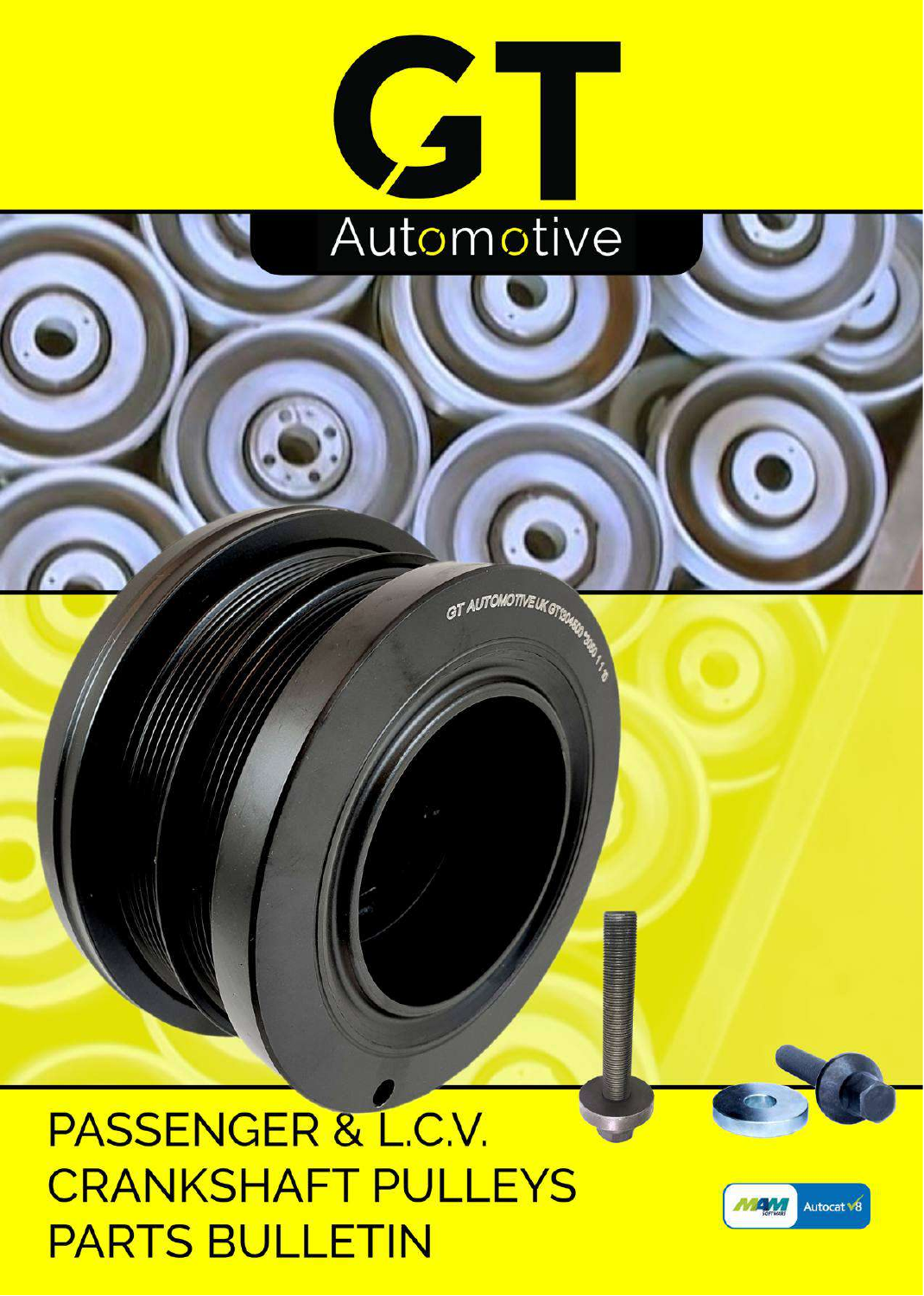

GT AUTOMOTIVE UK GTSO4GR

## PASSENGER & L.C.V. **CRANKSHAFT PULLEYS PARTS BULLETIN**

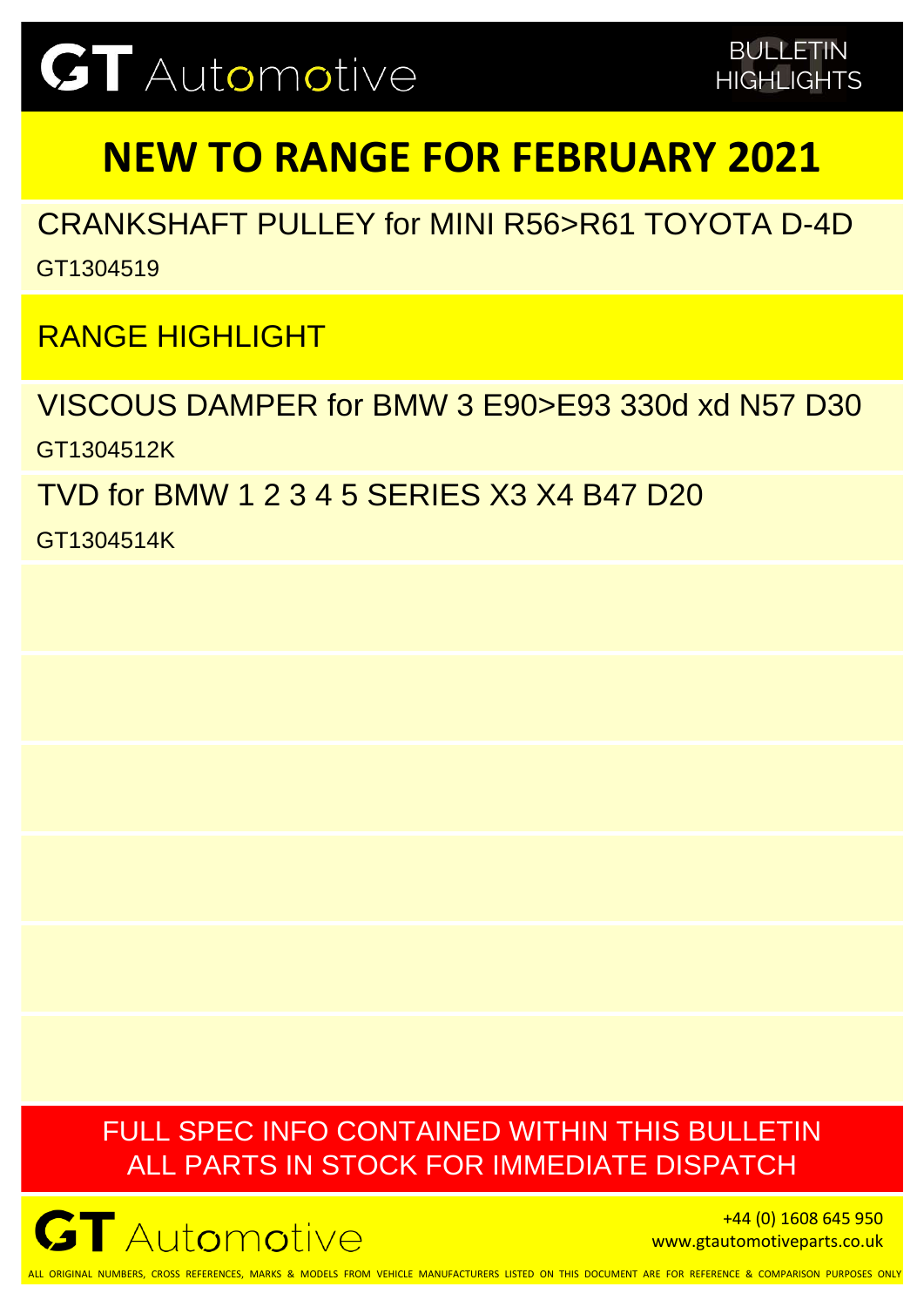## **NEW TO RANGE FOR FEBRUARY 2021**

CRANKSHAFT PULLEY for MINI R56>R61 TOYOTA D-4D GT1304519

RANGE HIGHLIGHT

VISCOUS DAMPER for BMW 3 E90>E93 330d xd N57 D30 GT1304512K

TVD for BMW 1 2 3 4 5 SERIES X3 X4 B47 D20

GT1304514K

### FULL SPEC INFO CONTAINED WITHIN THIS BULLETIN ALL PARTS IN STOCK FOR IMMEDIATE DISPATCH



+44 (0) 1608 645 950 www.gtautomotiveparts.co.uk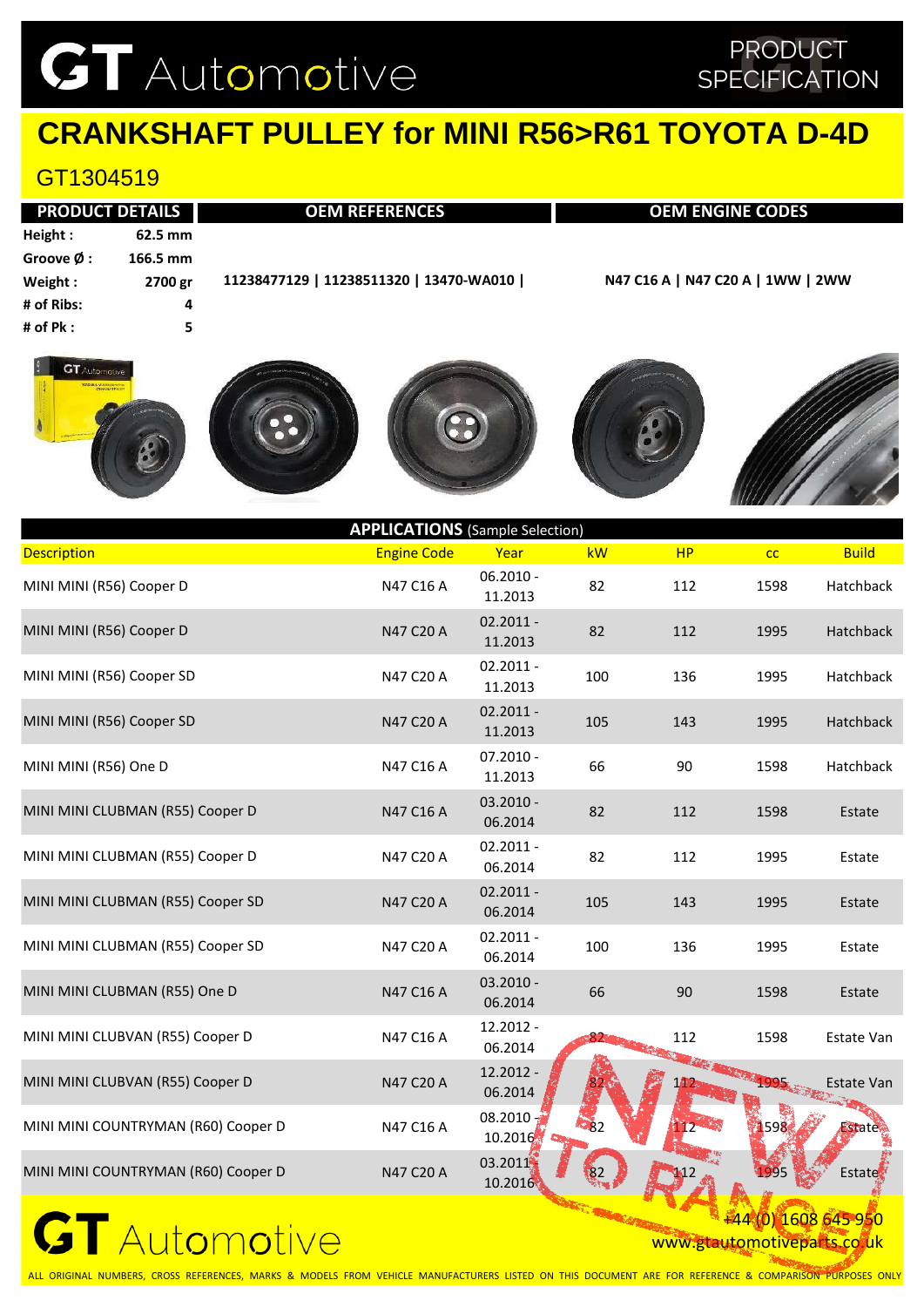### PRODUCT **SPECIFICATION**

## **CRANKSHAFT PULLEY for MINI R56>R61 TOYOTA D-4D**

### GT1304519

|                      | <b>PRODUCT DETAILS</b> | <b>OEM REFERENCES</b>                   | <b>OEM ENGINE CODES</b>           |
|----------------------|------------------------|-----------------------------------------|-----------------------------------|
| Height:              | 62.5 mm                |                                         |                                   |
| Groove $\emptyset$ : | 166.5 mm               |                                         |                                   |
| Weight:              | 2700 gr                | 11238477129   11238511320   13470-WA010 | N47 C16 A   N47 C20 A   1WW   2WW |
| # of Ribs:           | 4                      |                                         |                                   |
| # of $Pk:$           | 5                      |                                         |                                   |
|                      |                        |                                         |                                   |











| <b>APPLICATIONS</b> (Sample Selection) |                    |                        |     |     |                         |                  |  |  |
|----------------------------------------|--------------------|------------------------|-----|-----|-------------------------|------------------|--|--|
| <b>Description</b>                     | <b>Engine Code</b> | Year                   | kW  | HP  | cc                      | <b>Build</b>     |  |  |
| MINI MINI (R56) Cooper D               | N47 C16 A          | $06.2010 -$<br>11.2013 | 82  | 112 | 1598                    | Hatchback        |  |  |
| MINI MINI (R56) Cooper D               | N47 C20 A          | $02.2011 -$<br>11.2013 | 82  | 112 | 1995                    | <b>Hatchback</b> |  |  |
| MINI MINI (R56) Cooper SD              | N47 C20 A          | $02.2011 -$<br>11.2013 | 100 | 136 | 1995                    | Hatchback        |  |  |
| MINI MINI (R56) Cooper SD              | N47 C20 A          | $02.2011 -$<br>11.2013 | 105 | 143 | 1995                    | Hatchback        |  |  |
| MINI MINI (R56) One D                  | N47 C16 A          | $07.2010 -$<br>11.2013 | 66  | 90  | 1598                    | Hatchback        |  |  |
| MINI MINI CLUBMAN (R55) Cooper D       | N47 C16 A          | $03.2010 -$<br>06.2014 | 82  | 112 | 1598                    | Estate           |  |  |
| MINI MINI CLUBMAN (R55) Cooper D       | N47 C20 A          | $02.2011 -$<br>06.2014 | 82  | 112 | 1995                    | Estate           |  |  |
| MINI MINI CLUBMAN (R55) Cooper SD      | N47 C20 A          | $02.2011 -$<br>06.2014 | 105 | 143 | 1995                    | Estate           |  |  |
| MINI MINI CLUBMAN (R55) Cooper SD      | N47 C20 A          | $02.2011 -$<br>06.2014 | 100 | 136 | 1995                    | Estate           |  |  |
| MINI MINI CLUBMAN (R55) One D          | N47 C16 A          | $03.2010 -$<br>06.2014 | 66  | 90  | 1598                    | Estate           |  |  |
| MINI MINI CLUBVAN (R55) Cooper D       | N47 C16 A          | 12.2012 -<br>06.2014   |     | 112 | 1598                    | Estate Van       |  |  |
| MINI MINI CLUBVAN (R55) Cooper D       | N47 C20 A          | 12.2012 -<br>06.2014   |     |     | NEW ALLEMAND DOS STREET | Estate Van       |  |  |
| MINI MINI COUNTRYMAN (R60) Cooper D    | N47 C16 A          | 08.2010<br>10.2016     | -82 |     | 1598                    | <b>Estate</b>    |  |  |
| MINI MINI COUNTRYMAN (R60) Cooper D    | N47 C20 A          | 03.2011<br>10.2016     |     |     | 1995                    | <b>Estate</b>    |  |  |
|                                        |                    |                        |     |     |                         |                  |  |  |

### $\mathbf G$ T Automotive

+44 (0) 1608 645 950 www.gtautomotiveparts.co.uk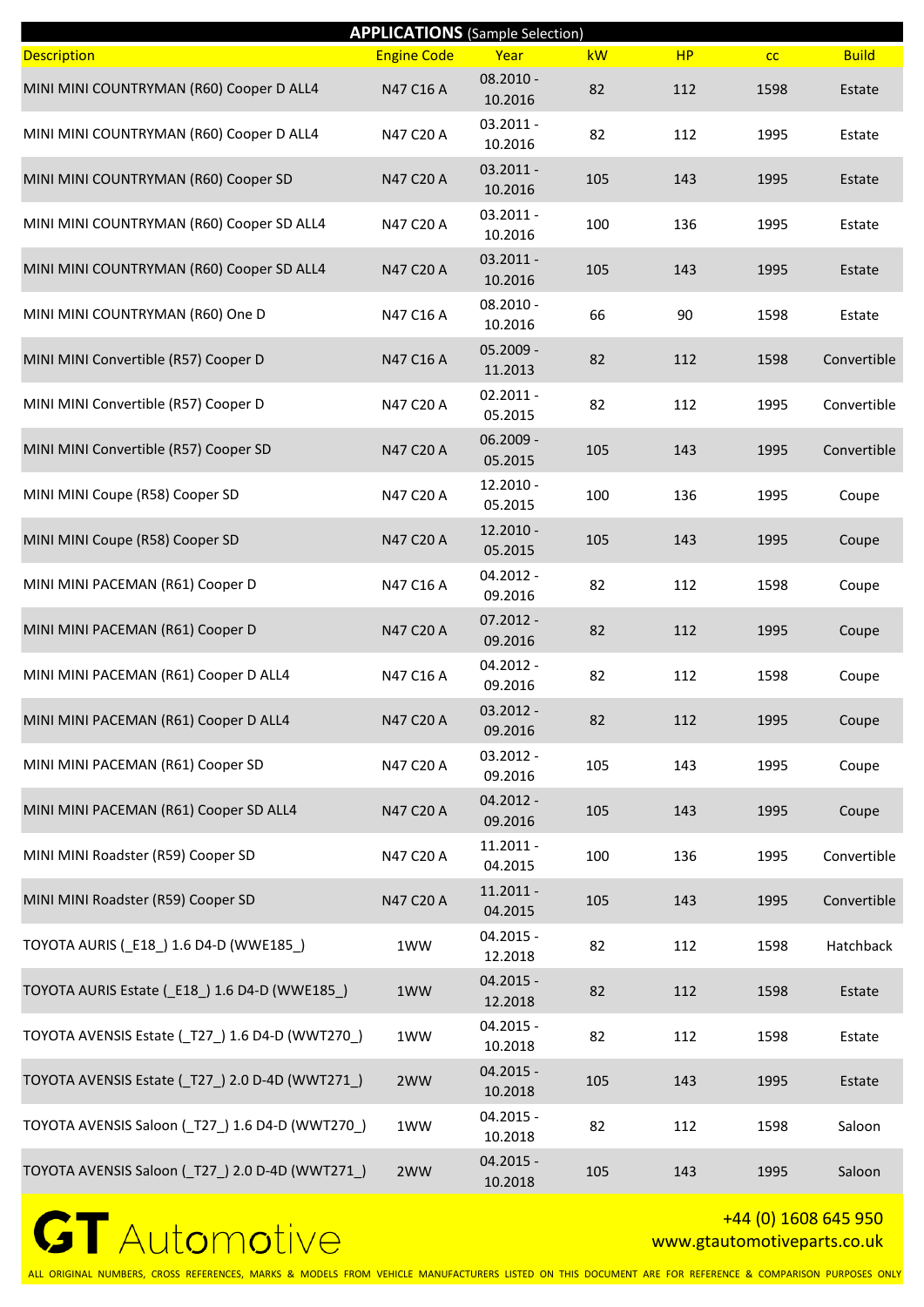|                                                  |                    | <b>APPLICATIONS</b> (Sample Selection) |     |     |      |              |
|--------------------------------------------------|--------------------|----------------------------------------|-----|-----|------|--------------|
| <b>Description</b>                               | <b>Engine Code</b> | Year                                   | kW  | HP  | cc   | <b>Build</b> |
| MINI MINI COUNTRYMAN (R60) Cooper D ALL4         | N47 C16 A          | $08.2010 -$<br>10.2016                 | 82  | 112 | 1598 | Estate       |
| MINI MINI COUNTRYMAN (R60) Cooper D ALL4         | N47 C20 A          | $03.2011 -$<br>10.2016                 | 82  | 112 | 1995 | Estate       |
| MINI MINI COUNTRYMAN (R60) Cooper SD             | N47 C20 A          | 03.2011 -<br>10.2016                   | 105 | 143 | 1995 | Estate       |
| MINI MINI COUNTRYMAN (R60) Cooper SD ALL4        | N47 C20 A          | $03.2011 -$<br>10.2016                 | 100 | 136 | 1995 | Estate       |
| MINI MINI COUNTRYMAN (R60) Cooper SD ALL4        | N47 C20 A          | $03.2011 -$<br>10.2016                 | 105 | 143 | 1995 | Estate       |
| MINI MINI COUNTRYMAN (R60) One D                 | N47 C16 A          | $08.2010 -$<br>10.2016                 | 66  | 90  | 1598 | Estate       |
| MINI MINI Convertible (R57) Cooper D             | N47 C16 A          | $05.2009 -$<br>11.2013                 | 82  | 112 | 1598 | Convertible  |
| MINI MINI Convertible (R57) Cooper D             | N47 C20 A          | $02.2011 -$<br>05.2015                 | 82  | 112 | 1995 | Convertible  |
| MINI MINI Convertible (R57) Cooper SD            | N47 C20 A          | 06.2009 -<br>05.2015                   | 105 | 143 | 1995 | Convertible  |
| MINI MINI Coupe (R58) Cooper SD                  | N47 C20 A          | 12.2010 -<br>05.2015                   | 100 | 136 | 1995 | Coupe        |
| MINI MINI Coupe (R58) Cooper SD                  | N47 C20 A          | 12.2010 -<br>05.2015                   | 105 | 143 | 1995 | Coupe        |
| MINI MINI PACEMAN (R61) Cooper D                 | N47 C16 A          | 04.2012 -<br>09.2016                   | 82  | 112 | 1598 | Coupe        |
| MINI MINI PACEMAN (R61) Cooper D                 | N47 C20 A          | $07.2012 -$<br>09.2016                 | 82  | 112 | 1995 | Coupe        |
| MINI MINI PACEMAN (R61) Cooper D ALL4            | N47 C16 A          | $04.2012 -$<br>09.2016                 | 82  | 112 | 1598 | Coupe        |
| MINI MINI PACEMAN (R61) Cooper D ALL4            | N47 C20 A          | $03.2012 -$<br>09.2016                 | 82  | 112 | 1995 | Coupe        |
| MINI MINI PACEMAN (R61) Cooper SD                | N47 C20 A          | 03.2012 -<br>09.2016                   | 105 | 143 | 1995 | Coupe        |
| MINI MINI PACEMAN (R61) Cooper SD ALL4           | N47 C20 A          | 04.2012 -<br>09.2016                   | 105 | 143 | 1995 | Coupe        |
| MINI MINI Roadster (R59) Cooper SD               | N47 C20 A          | $11.2011 -$<br>04.2015                 | 100 | 136 | 1995 | Convertible  |
| MINI MINI Roadster (R59) Cooper SD               | N47 C20 A          | $11.2011 -$<br>04.2015                 | 105 | 143 | 1995 | Convertible  |
| TOYOTA AURIS ( E18 ) 1.6 D4-D (WWE185 )          | 1WW                | $04.2015 -$<br>12.2018                 | 82  | 112 | 1598 | Hatchback    |
| TOYOTA AURIS Estate (E18) 1.6 D4-D (WWE185)      | 1WW                | 04.2015 -<br>12.2018                   | 82  | 112 | 1598 | Estate       |
| TOYOTA AVENSIS Estate (T27) 1.6 D4-D (WWT270)    | 1WW                | 04.2015 -<br>10.2018                   | 82  | 112 | 1598 | Estate       |
| TOYOTA AVENSIS Estate (T27) 2.0 D-4D (WWT271)    | 2WW                | $04.2015 -$<br>10.2018                 | 105 | 143 | 1995 | Estate       |
| TOYOTA AVENSIS Saloon (T27) 1.6 D4-D (WWT270)    | 1WW                | 04.2015 -<br>10.2018                   | 82  | 112 | 1598 | Saloon       |
| TOYOTA AVENSIS Saloon (_T27_) 2.0 D-4D (WWT271_) | 2WW                | 04.2015 -<br>10.2018                   | 105 | 143 | 1995 | Saloon       |

#### +44 (0) 1608 645 950 www.gtautomotiveparts.co.uk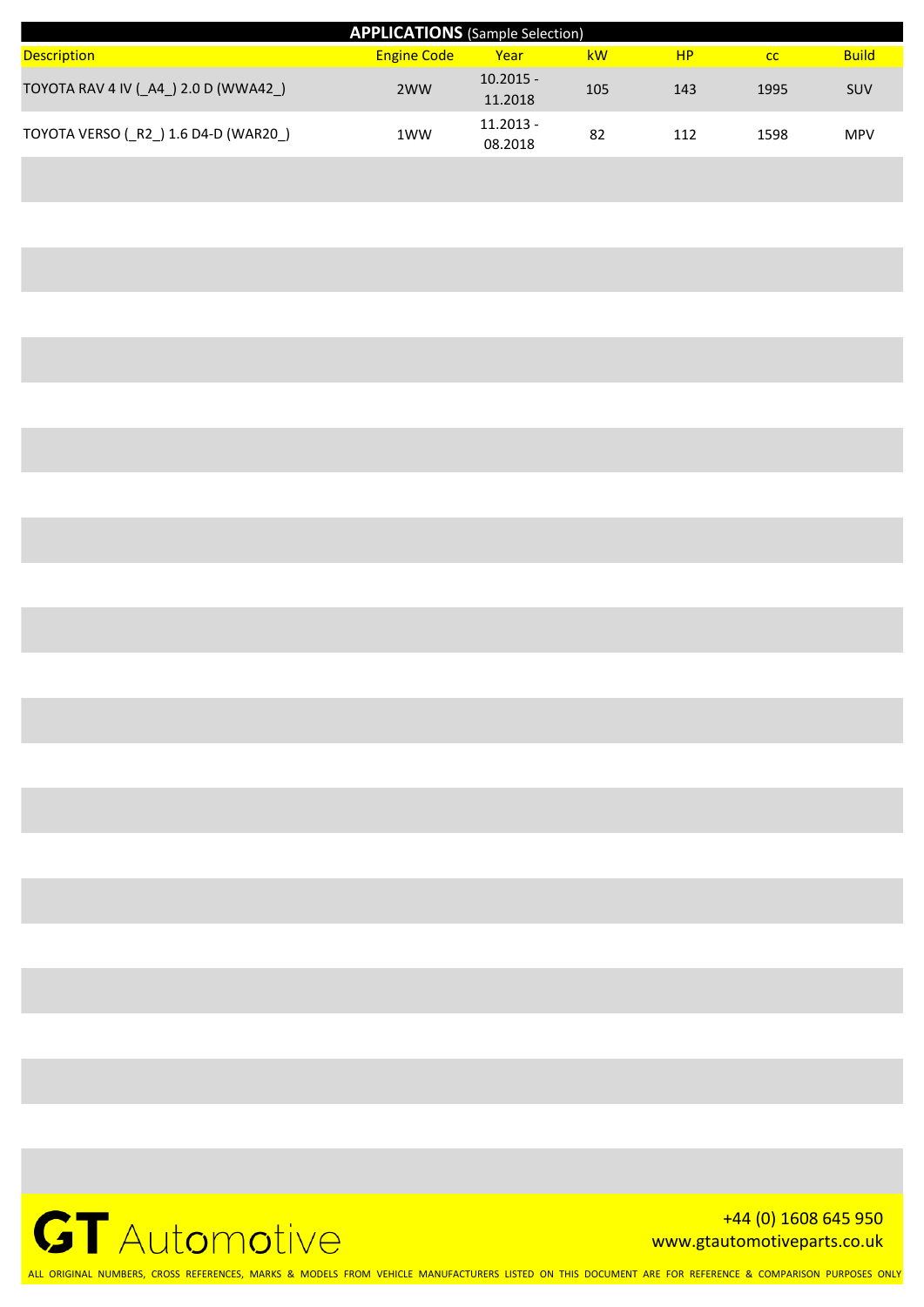| <b>APPLICATIONS</b> (Sample Selection) |                    |                        |     |           |      |              |  |  |  |
|----------------------------------------|--------------------|------------------------|-----|-----------|------|--------------|--|--|--|
| <b>Description</b>                     | <b>Engine Code</b> | Year                   | kW  | <b>HP</b> | cc   | <b>Build</b> |  |  |  |
| TOYOTA RAV 4 IV (A4) 2.0 D (WWA42)     | 2WW                | $10.2015 -$<br>11.2018 | 105 | 143       | 1995 | <b>SUV</b>   |  |  |  |
| TOYOTA VERSO (R2) 1.6 D4-D (WAR20)     | 1WW                | $11.2013 -$<br>08.2018 | 82  | 112       | 1598 | <b>MPV</b>   |  |  |  |



+44 (0) 1608 645 950 www.gtautomotiveparts.co.uk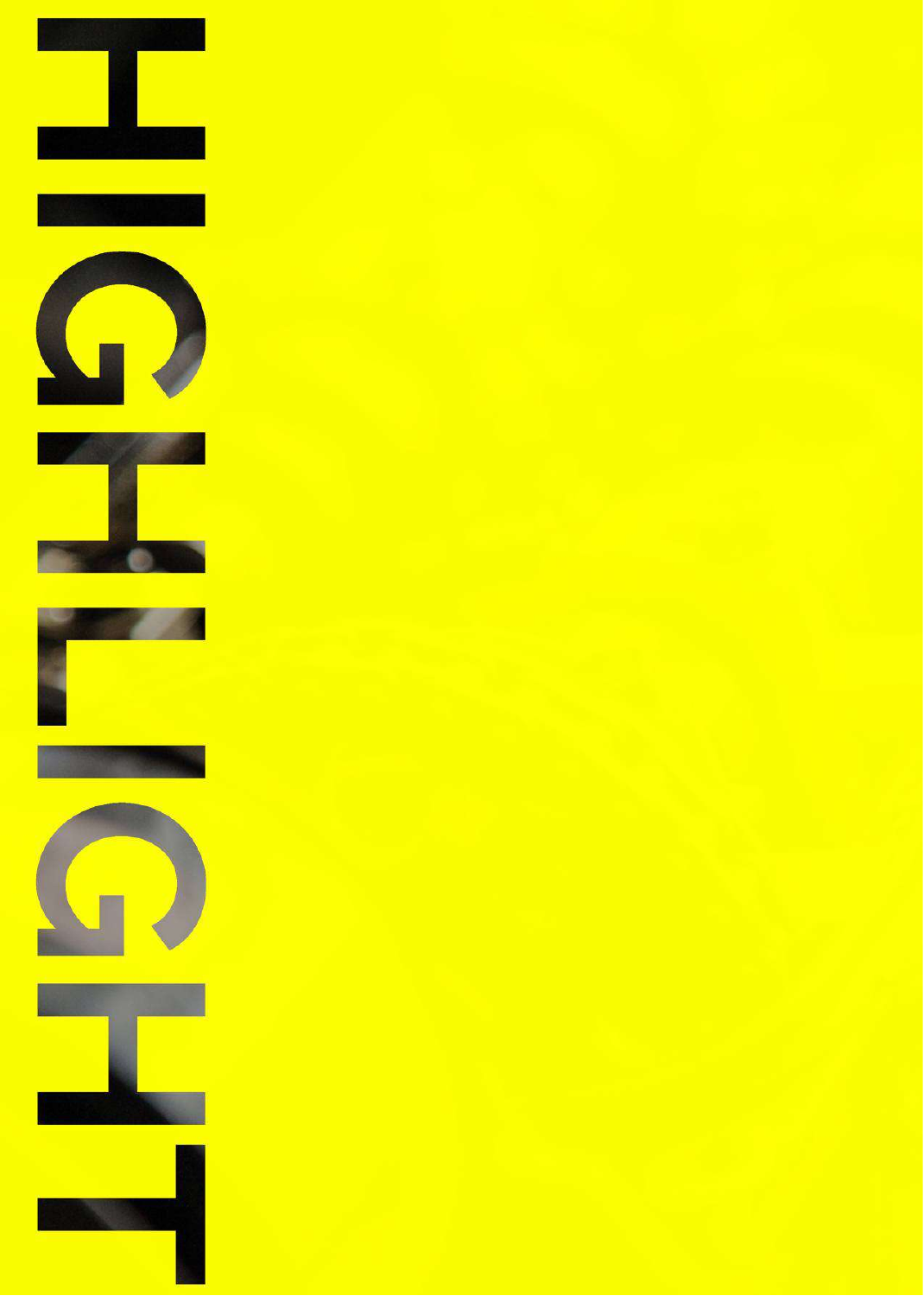













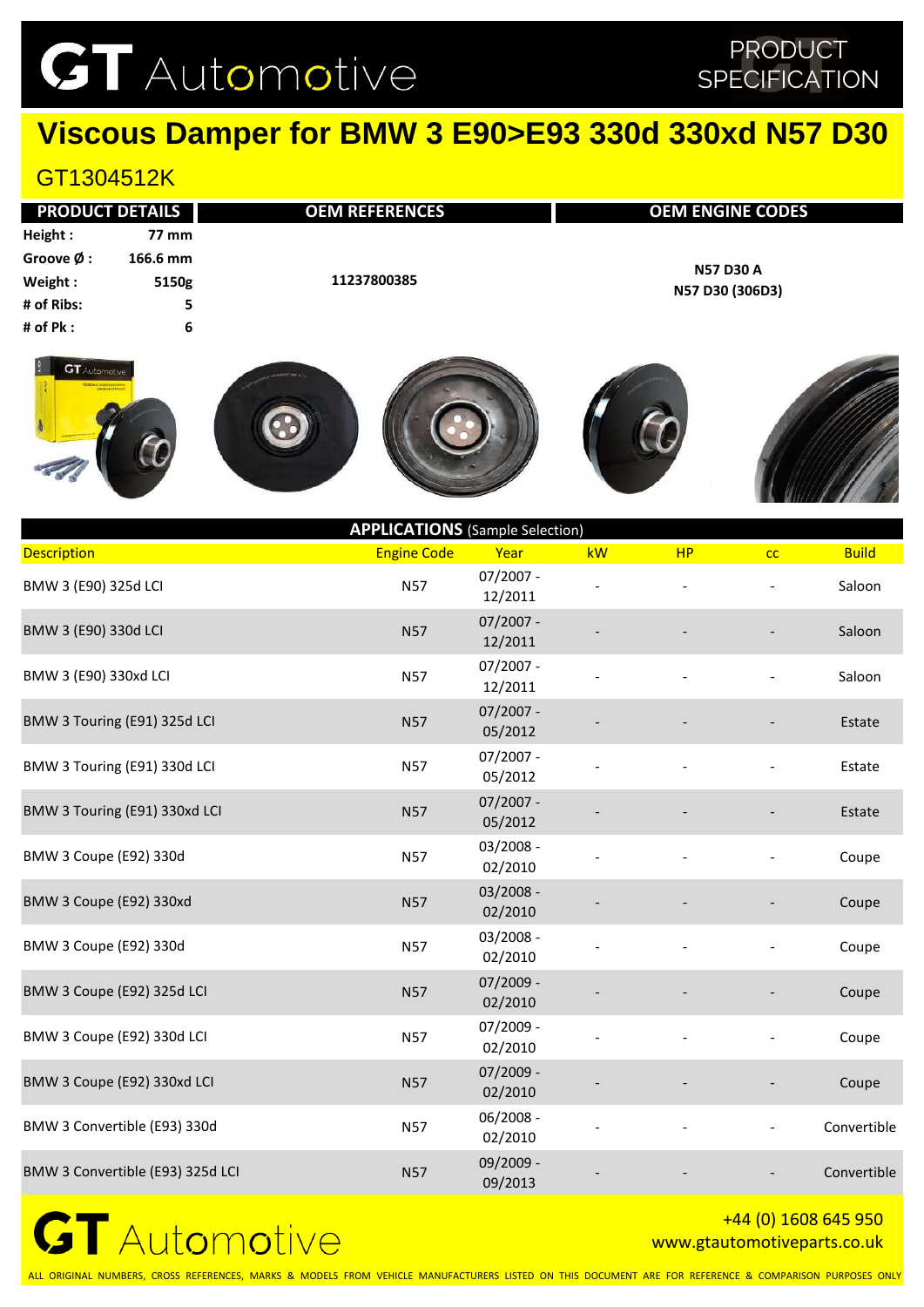### PRODUCT **SPECIFICATION**

### **Viscous Damper for BMW 3 E90>E93 330d 330xd N57 D30**

### GT1304512K

|            | <b>PRODUCT DETAILS</b> | <b>OEM REFERENCES</b> | <b>OEM ENGINE CODES</b> |
|------------|------------------------|-----------------------|-------------------------|
| Height:    | <b>77 mm</b>           |                       |                         |
| Groove Ø : | 166.6 mm               |                       | <b>N57 D30 A</b>        |
| Weight:    | 5150g                  | 11237800385           | N57 D30 (306D3)         |
| # of Ribs: | 5.                     |                       |                         |
| # of Pk :  | 6                      |                       |                         |
|            |                        |                       |                         |











| <b>APPLICATIONS</b> (Sample Selection) |                    |                        |    |    |    |              |  |  |  |
|----------------------------------------|--------------------|------------------------|----|----|----|--------------|--|--|--|
| <b>Description</b>                     | <b>Engine Code</b> | Year                   | kW | HP | cc | <b>Build</b> |  |  |  |
| BMW 3 (E90) 325d LCI                   | <b>N57</b>         | $07/2007 -$<br>12/2011 |    |    |    | Saloon       |  |  |  |
| BMW 3 (E90) 330d LCI                   | <b>N57</b>         | $07/2007 -$<br>12/2011 |    |    |    | Saloon       |  |  |  |
| BMW 3 (E90) 330xd LCI                  | <b>N57</b>         | $07/2007 -$<br>12/2011 |    |    |    | Saloon       |  |  |  |
| BMW 3 Touring (E91) 325d LCI           | <b>N57</b>         | $07/2007 -$<br>05/2012 |    |    |    | Estate       |  |  |  |
| BMW 3 Touring (E91) 330d LCI           | <b>N57</b>         | $07/2007 -$<br>05/2012 |    |    |    | Estate       |  |  |  |
| BMW 3 Touring (E91) 330xd LCI          | <b>N57</b>         | $07/2007 -$<br>05/2012 |    |    |    | Estate       |  |  |  |
| BMW 3 Coupe (E92) 330d                 | <b>N57</b>         | 03/2008 -<br>02/2010   |    |    |    | Coupe        |  |  |  |
| BMW 3 Coupe (E92) 330xd                | <b>N57</b>         | $03/2008 -$<br>02/2010 |    |    |    | Coupe        |  |  |  |
| BMW 3 Coupe (E92) 330d                 | <b>N57</b>         | 03/2008 -<br>02/2010   |    |    |    | Coupe        |  |  |  |
| BMW 3 Coupe (E92) 325d LCI             | <b>N57</b>         | 07/2009 -<br>02/2010   |    |    |    | Coupe        |  |  |  |
| BMW 3 Coupe (E92) 330d LCI             | <b>N57</b>         | 07/2009 -<br>02/2010   |    |    |    | Coupe        |  |  |  |
| BMW 3 Coupe (E92) 330xd LCI            | <b>N57</b>         | 07/2009 -<br>02/2010   |    |    |    | Coupe        |  |  |  |
| BMW 3 Convertible (E93) 330d           | <b>N57</b>         | 06/2008 -<br>02/2010   |    |    |    | Convertible  |  |  |  |
| BMW 3 Convertible (E93) 325d LCI       | <b>N57</b>         | 09/2009 -<br>09/2013   |    |    |    | Convertible  |  |  |  |
|                                        |                    |                        |    |    |    |              |  |  |  |



#### +44 (0) 1608 645 950 www.gtautomotiveparts.co.uk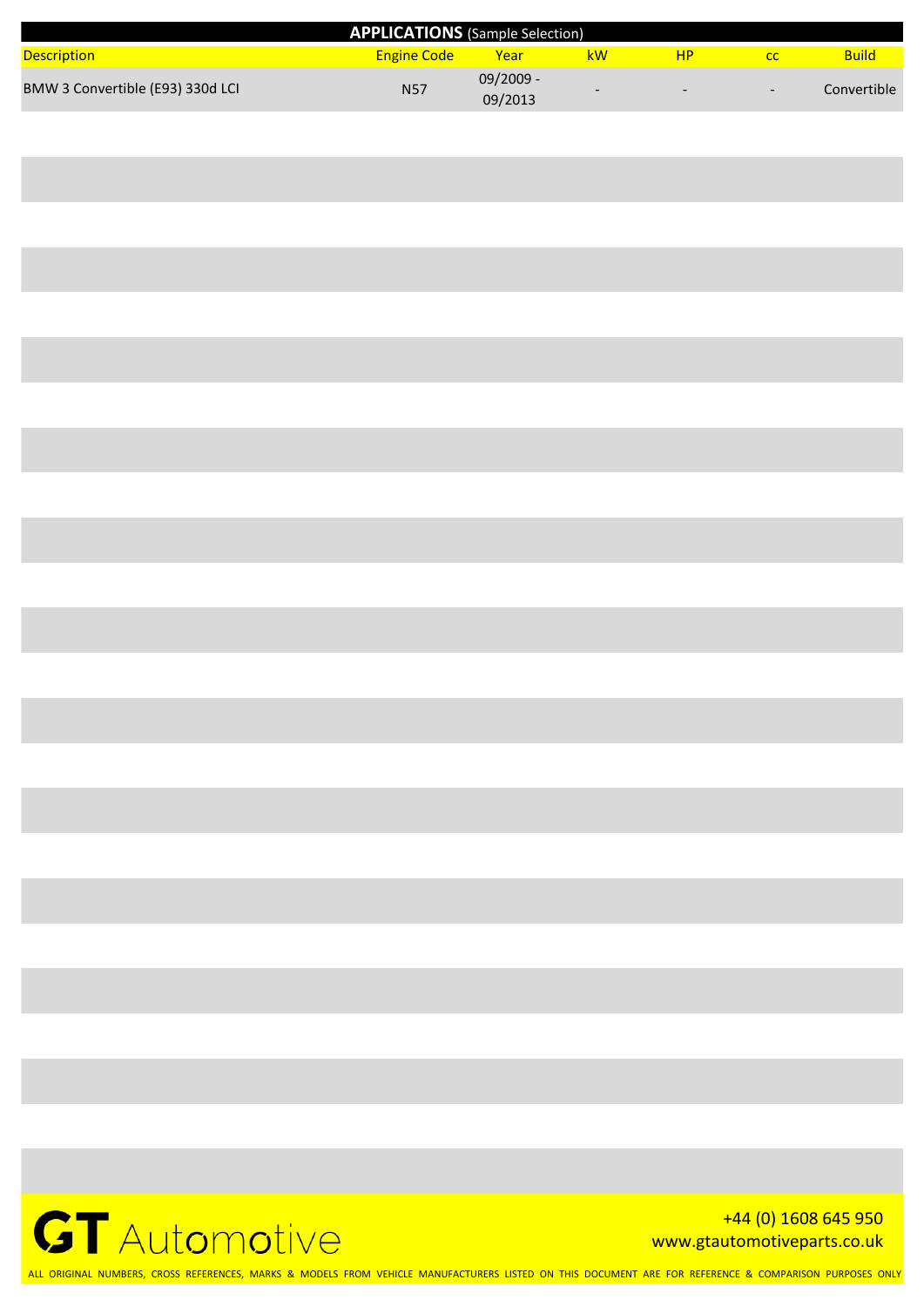| <b>APPLICATIONS</b> (Sample Selection) |                    |                        |    |                          |                          |              |  |
|----------------------------------------|--------------------|------------------------|----|--------------------------|--------------------------|--------------|--|
| <b>Description</b>                     | <b>Engine Code</b> | Year                   | kW | <b>HP</b>                |                          | <b>Build</b> |  |
| BMW 3 Convertible (E93) 330d LCI       | <b>N57</b>         | $09/2009 -$<br>09/2013 |    | $\overline{\phantom{0}}$ | $\overline{\phantom{0}}$ | Convertible  |  |



+44 (0) 1608 645 950 www.gtautomotiveparts.co.uk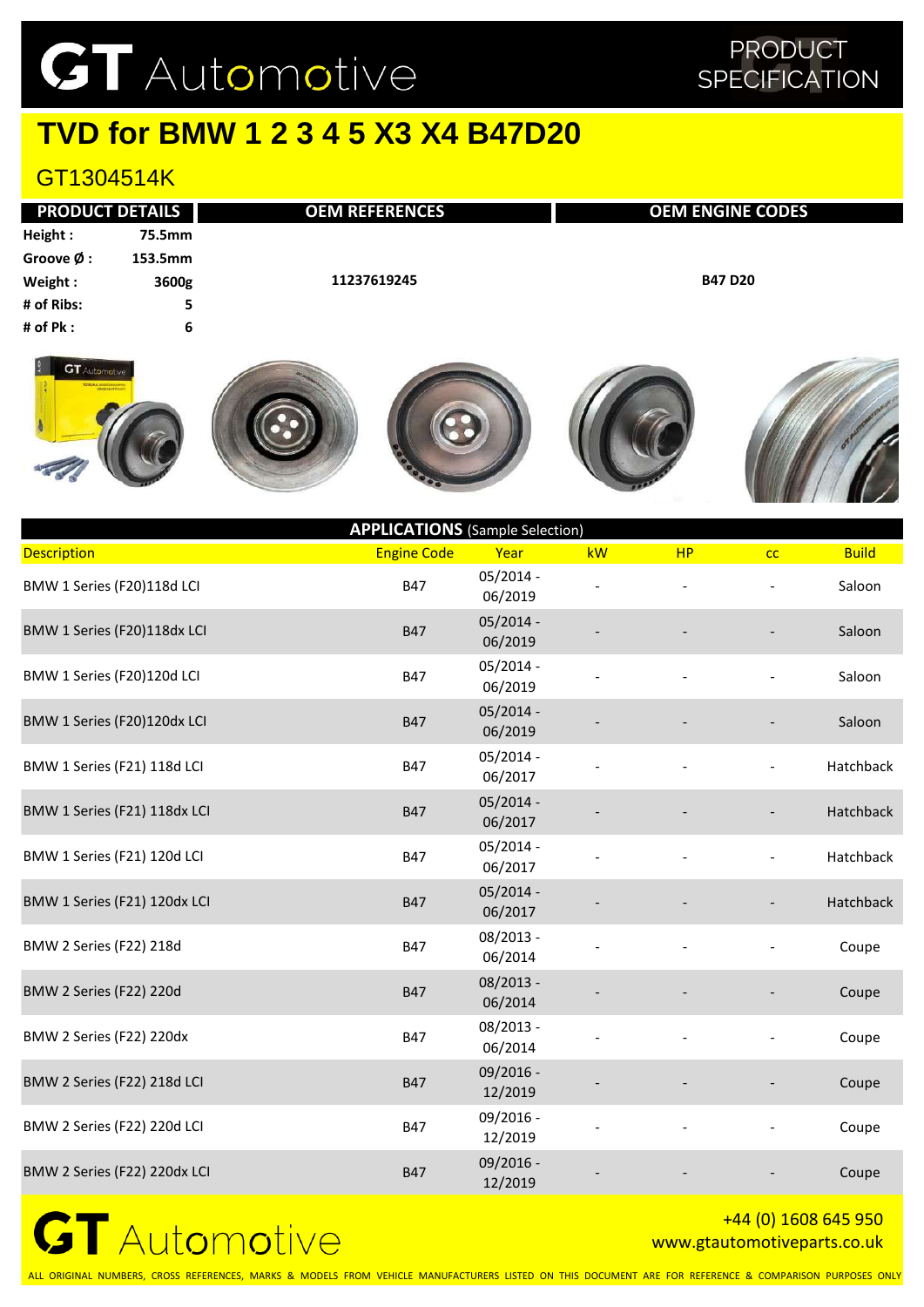## **TVD for BMW 1 2 3 4 5 X3 X4 B47D20**

### GT1304514K

| <b>PRODUCT DETAILS</b> |         | <b>OEM REFERENCES</b> | <b>OEM ENGINE CODES</b> |
|------------------------|---------|-----------------------|-------------------------|
| Height:                | 75.5mm  |                       |                         |
| Groove Ø :             | 153.5mm |                       |                         |
| Weight:                | 3600g   | 11237619245           | <b>B47 D20</b>          |
| # of Ribs:             | 5       |                       |                         |
| # of Pk :              | 6       |                       |                         |
|                        |         |                       |                         |











| <b>APPLICATIONS</b> (Sample Selection) |                    |                        |    |           |    |              |  |  |
|----------------------------------------|--------------------|------------------------|----|-----------|----|--------------|--|--|
| <b>Description</b>                     | <b>Engine Code</b> | Year                   | kW | <b>HP</b> | cc | <b>Build</b> |  |  |
| BMW 1 Series (F20)118d LCI             | <b>B47</b>         | $05/2014 -$<br>06/2019 |    |           |    | Saloon       |  |  |
| BMW 1 Series (F20)118dx LCI            | <b>B47</b>         | $05/2014 -$<br>06/2019 |    |           |    | Saloon       |  |  |
| BMW 1 Series (F20)120d LCI             | <b>B47</b>         | 05/2014 -<br>06/2019   |    |           |    | Saloon       |  |  |
| BMW 1 Series (F20)120dx LCI            | <b>B47</b>         | $05/2014 -$<br>06/2019 |    |           |    | Saloon       |  |  |
| BMW 1 Series (F21) 118d LCI            | <b>B47</b>         | 05/2014 -<br>06/2017   |    |           |    | Hatchback    |  |  |
| BMW 1 Series (F21) 118dx LCI           | <b>B47</b>         | $05/2014 -$<br>06/2017 |    |           |    | Hatchback    |  |  |
| BMW 1 Series (F21) 120d LCI            | <b>B47</b>         | $05/2014 -$<br>06/2017 |    |           |    | Hatchback    |  |  |
| BMW 1 Series (F21) 120dx LCI           | <b>B47</b>         | $05/2014 -$<br>06/2017 |    |           |    | Hatchback    |  |  |
| BMW 2 Series (F22) 218d                | <b>B47</b>         | 08/2013 -<br>06/2014   |    |           |    | Coupe        |  |  |
| <b>BMW 2 Series (F22) 220d</b>         | <b>B47</b>         | $08/2013 -$<br>06/2014 |    |           |    | Coupe        |  |  |
| BMW 2 Series (F22) 220dx               | <b>B47</b>         | 08/2013 -<br>06/2014   |    |           |    | Coupe        |  |  |
| BMW 2 Series (F22) 218d LCI            | <b>B47</b>         | 09/2016 -<br>12/2019   |    |           |    | Coupe        |  |  |
| BMW 2 Series (F22) 220d LCI            | <b>B47</b>         | 09/2016 -<br>12/2019   |    |           |    | Coupe        |  |  |
| BMW 2 Series (F22) 220dx LCI           | <b>B47</b>         | 09/2016 -<br>12/2019   |    |           |    | Coupe        |  |  |



#### +44 (0) 1608 645 950 www.gtautomotiveparts.co.uk

ALL ORIGINAL NUMBERS, CROSS REFERENCES, MARKS & MODELS FROM VEHICLE MANUFACTURERS LISTED ON THIS DOCUMENT ARE FOR REFERENCE & COMPARISON PURPOSES ONLY

### PRODUCT **SPECIFICATION**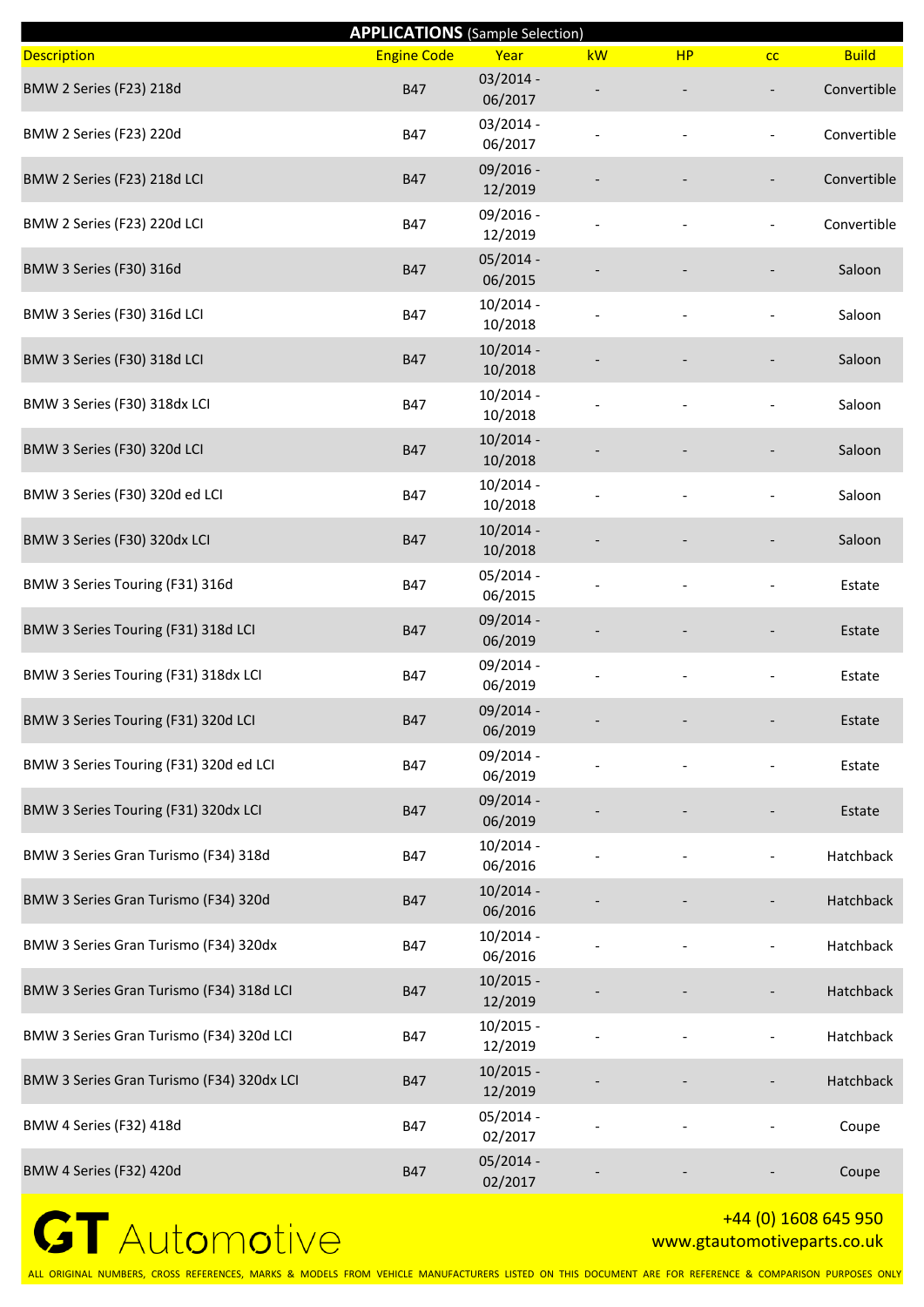|                                           | <b>APPLICATIONS</b> (Sample Selection) |                        |    |           |                          |              |
|-------------------------------------------|----------------------------------------|------------------------|----|-----------|--------------------------|--------------|
| <b>Description</b>                        | <b>Engine Code</b>                     | Year                   | kW | <b>HP</b> | cc                       | <b>Build</b> |
| BMW 2 Series (F23) 218d                   | <b>B47</b>                             | 03/2014 -<br>06/2017   |    |           |                          | Convertible  |
| BMW 2 Series (F23) 220d                   | <b>B47</b>                             | 03/2014 -<br>06/2017   |    |           | $\overline{\phantom{a}}$ | Convertible  |
| BMW 2 Series (F23) 218d LCI               | <b>B47</b>                             | 09/2016 -<br>12/2019   |    |           |                          | Convertible  |
| BMW 2 Series (F23) 220d LCI               | <b>B47</b>                             | 09/2016 -<br>12/2019   |    |           |                          | Convertible  |
| BMW 3 Series (F30) 316d                   | <b>B47</b>                             | $05/2014 -$<br>06/2015 |    |           |                          | Saloon       |
| BMW 3 Series (F30) 316d LCI               | B47                                    | 10/2014 -<br>10/2018   |    |           |                          | Saloon       |
| BMW 3 Series (F30) 318d LCI               | <b>B47</b>                             | $10/2014 -$<br>10/2018 |    |           |                          | Saloon       |
| BMW 3 Series (F30) 318dx LCI              | <b>B47</b>                             | 10/2014 -<br>10/2018   |    |           |                          | Saloon       |
| BMW 3 Series (F30) 320d LCI               | <b>B47</b>                             | 10/2014 -<br>10/2018   |    |           |                          | Saloon       |
| BMW 3 Series (F30) 320d ed LCI            | <b>B47</b>                             | 10/2014 -<br>10/2018   |    |           |                          | Saloon       |
| BMW 3 Series (F30) 320dx LCI              | <b>B47</b>                             | $10/2014 -$<br>10/2018 |    |           |                          | Saloon       |
| BMW 3 Series Touring (F31) 316d           | B47                                    | 05/2014 -<br>06/2015   |    |           |                          | Estate       |
| BMW 3 Series Touring (F31) 318d LCI       | <b>B47</b>                             | 09/2014 -<br>06/2019   |    |           |                          | Estate       |
| BMW 3 Series Touring (F31) 318dx LCI      | B47                                    | 09/2014 -<br>06/2019   |    |           |                          | Estate       |
| BMW 3 Series Touring (F31) 320d LCI       | <b>B47</b>                             | 09/2014 -<br>06/2019   |    |           |                          | Estate       |
| BMW 3 Series Touring (F31) 320d ed LCI    | <b>B47</b>                             | 09/2014 -<br>06/2019   |    |           |                          | Estate       |
| BMW 3 Series Touring (F31) 320dx LCI      | <b>B47</b>                             | 09/2014 -<br>06/2019   |    |           |                          | Estate       |
| BMW 3 Series Gran Turismo (F34) 318d      | B47                                    | 10/2014 -<br>06/2016   |    |           |                          | Hatchback    |
| BMW 3 Series Gran Turismo (F34) 320d      | <b>B47</b>                             | $10/2014 -$<br>06/2016 |    |           |                          | Hatchback    |
| BMW 3 Series Gran Turismo (F34) 320dx     | B47                                    | $10/2014 -$<br>06/2016 |    |           | $\overline{\phantom{a}}$ | Hatchback    |
| BMW 3 Series Gran Turismo (F34) 318d LCI  | <b>B47</b>                             | $10/2015 -$<br>12/2019 |    |           |                          | Hatchback    |
| BMW 3 Series Gran Turismo (F34) 320d LCI  | <b>B47</b>                             | 10/2015 -<br>12/2019   |    |           |                          | Hatchback    |
| BMW 3 Series Gran Turismo (F34) 320dx LCI | <b>B47</b>                             | $10/2015 -$<br>12/2019 |    |           |                          | Hatchback    |
| BMW 4 Series (F32) 418d                   | B47                                    | 05/2014 -<br>02/2017   |    |           |                          | Coupe        |
| BMW 4 Series (F32) 420d                   | <b>B47</b>                             | 05/2014 -<br>02/2017   |    |           |                          | Coupe        |

### +44 (0) 1608 645 950 www.gtautomotiveparts.co.uk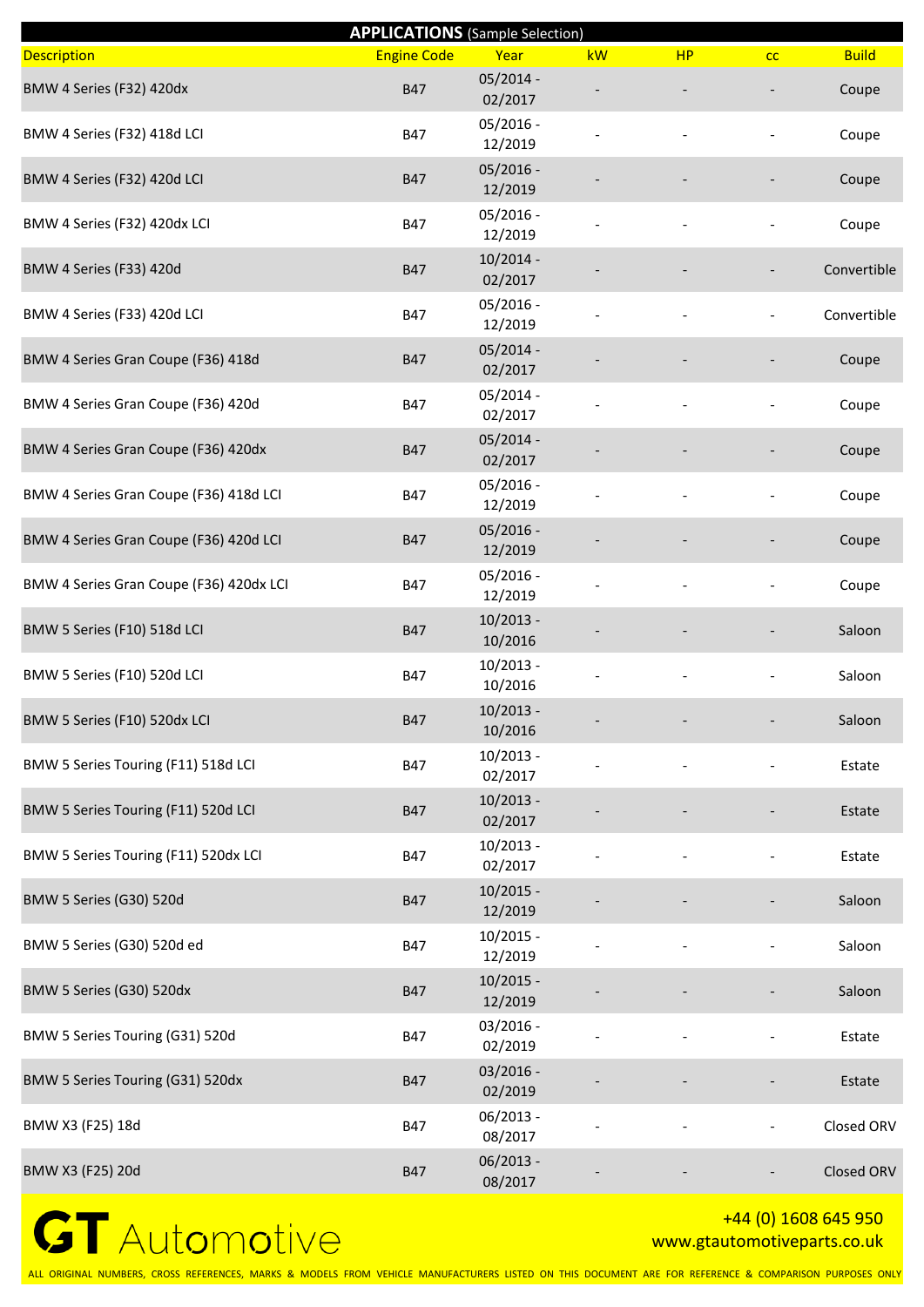|                                         | <b>APPLICATIONS</b> (Sample Selection) |                        |    |           |    |              |
|-----------------------------------------|----------------------------------------|------------------------|----|-----------|----|--------------|
| <b>Description</b>                      | <b>Engine Code</b>                     | Year                   | kW | <b>HP</b> | cc | <b>Build</b> |
| BMW 4 Series (F32) 420dx                | <b>B47</b>                             | 05/2014 -<br>02/2017   |    |           |    | Coupe        |
| BMW 4 Series (F32) 418d LCI             | <b>B47</b>                             | $05/2016 -$<br>12/2019 |    |           |    | Coupe        |
| BMW 4 Series (F32) 420d LCI             | <b>B47</b>                             | $05/2016 -$<br>12/2019 |    |           |    | Coupe        |
| BMW 4 Series (F32) 420dx LCI            | <b>B47</b>                             | $05/2016 -$<br>12/2019 |    |           |    | Coupe        |
| BMW 4 Series (F33) 420d                 | <b>B47</b>                             | $10/2014 -$<br>02/2017 |    |           |    | Convertible  |
| BMW 4 Series (F33) 420d LCI             | <b>B47</b>                             | $05/2016 -$<br>12/2019 |    |           |    | Convertible  |
| BMW 4 Series Gran Coupe (F36) 418d      | <b>B47</b>                             | $05/2014 -$<br>02/2017 |    |           |    | Coupe        |
| BMW 4 Series Gran Coupe (F36) 420d      | <b>B47</b>                             | $05/2014 -$<br>02/2017 |    |           |    | Coupe        |
| BMW 4 Series Gran Coupe (F36) 420dx     | <b>B47</b>                             | $05/2014 -$<br>02/2017 |    |           |    | Coupe        |
| BMW 4 Series Gran Coupe (F36) 418d LCI  | <b>B47</b>                             | $05/2016 -$<br>12/2019 |    |           |    | Coupe        |
| BMW 4 Series Gran Coupe (F36) 420d LCI  | <b>B47</b>                             | $05/2016 -$<br>12/2019 |    |           |    | Coupe        |
| BMW 4 Series Gran Coupe (F36) 420dx LCI | <b>B47</b>                             | $05/2016 -$<br>12/2019 |    |           |    | Coupe        |
| BMW 5 Series (F10) 518d LCI             | <b>B47</b>                             | $10/2013 -$<br>10/2016 |    |           |    | Saloon       |
| BMW 5 Series (F10) 520d LCI             | <b>B47</b>                             | $10/2013 -$<br>10/2016 |    |           |    | Saloon       |
| BMW 5 Series (F10) 520dx LCI            | <b>B47</b>                             | $10/2013 -$<br>10/2016 |    |           |    | Saloon       |
| BMW 5 Series Touring (F11) 518d LCI     | <b>B47</b>                             | $10/2013 -$<br>02/2017 |    |           |    | Estate       |
| BMW 5 Series Touring (F11) 520d LCI     | <b>B47</b>                             | $10/2013 -$<br>02/2017 |    |           |    | Estate       |
| BMW 5 Series Touring (F11) 520dx LCI    | <b>B47</b>                             | $10/2013 -$<br>02/2017 |    |           |    | Estate       |
| BMW 5 Series (G30) 520d                 | <b>B47</b>                             | $10/2015 -$<br>12/2019 |    |           |    | Saloon       |
| BMW 5 Series (G30) 520d ed              | <b>B47</b>                             | $10/2015 -$<br>12/2019 |    |           |    | Saloon       |
| BMW 5 Series (G30) 520dx                | <b>B47</b>                             | $10/2015 -$<br>12/2019 |    |           |    | Saloon       |
| BMW 5 Series Touring (G31) 520d         | <b>B47</b>                             | $03/2016 -$<br>02/2019 |    |           |    | Estate       |
| BMW 5 Series Touring (G31) 520dx        | <b>B47</b>                             | $03/2016 -$<br>02/2019 |    |           |    | Estate       |
| BMW X3 (F25) 18d                        | <b>B47</b>                             | $06/2013 -$<br>08/2017 |    |           |    | Closed ORV   |
| BMW X3 (F25) 20d                        | <b>B47</b>                             | $06/2013 -$<br>08/2017 |    |           |    | Closed ORV   |

#### +44 (0) 1608 645 950 www.gtautomotiveparts.co.uk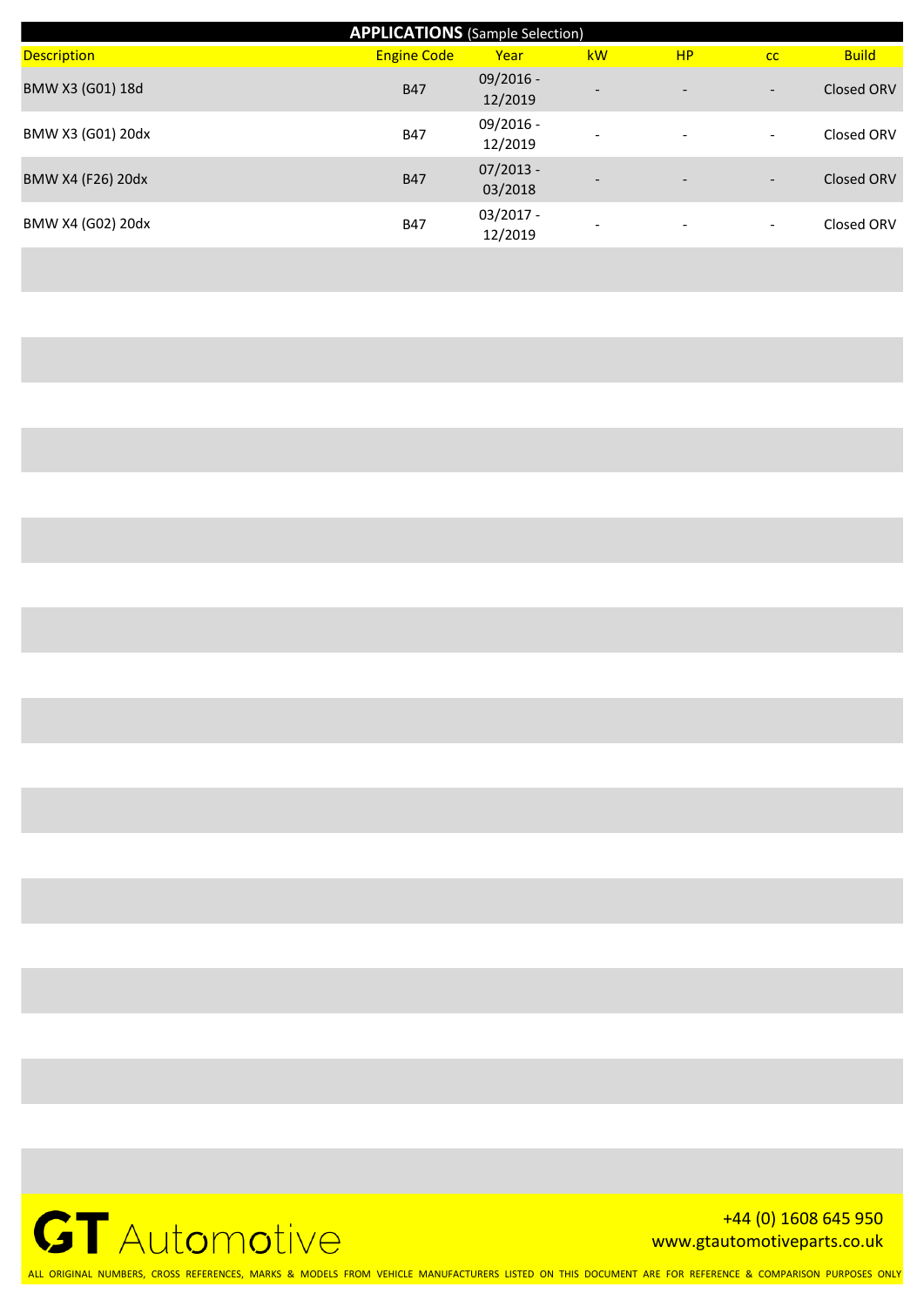| <b>APPLICATIONS</b> (Sample Selection) |                    |                        |                          |                          |                          |              |  |  |  |
|----------------------------------------|--------------------|------------------------|--------------------------|--------------------------|--------------------------|--------------|--|--|--|
| <b>Description</b>                     | <b>Engine Code</b> | Year                   | kW                       | <b>HP</b>                | cc                       | <b>Build</b> |  |  |  |
| BMW X3 (G01) 18d                       | <b>B47</b>         | $09/2016 -$<br>12/2019 | $\overline{\phantom{0}}$ | $\overline{\phantom{a}}$ | $\overline{\phantom{a}}$ | Closed ORV   |  |  |  |
| BMW X3 (G01) 20dx                      | <b>B47</b>         | $09/2016 -$<br>12/2019 | $\overline{\phantom{a}}$ | $\qquad \qquad -$        | $\overline{\phantom{a}}$ | Closed ORV   |  |  |  |
| BMW X4 (F26) 20dx                      | <b>B47</b>         | $07/2013 -$<br>03/2018 | -                        | $\overline{\phantom{a}}$ | $\overline{\phantom{0}}$ | Closed ORV   |  |  |  |
| BMW X4 (G02) 20dx                      | <b>B47</b>         | $03/2017 -$<br>12/2019 |                          | $\overline{\phantom{a}}$ | $\overline{\phantom{0}}$ | Closed ORV   |  |  |  |



+44 (0) 1608 645 950 www.gtautomotiveparts.co.uk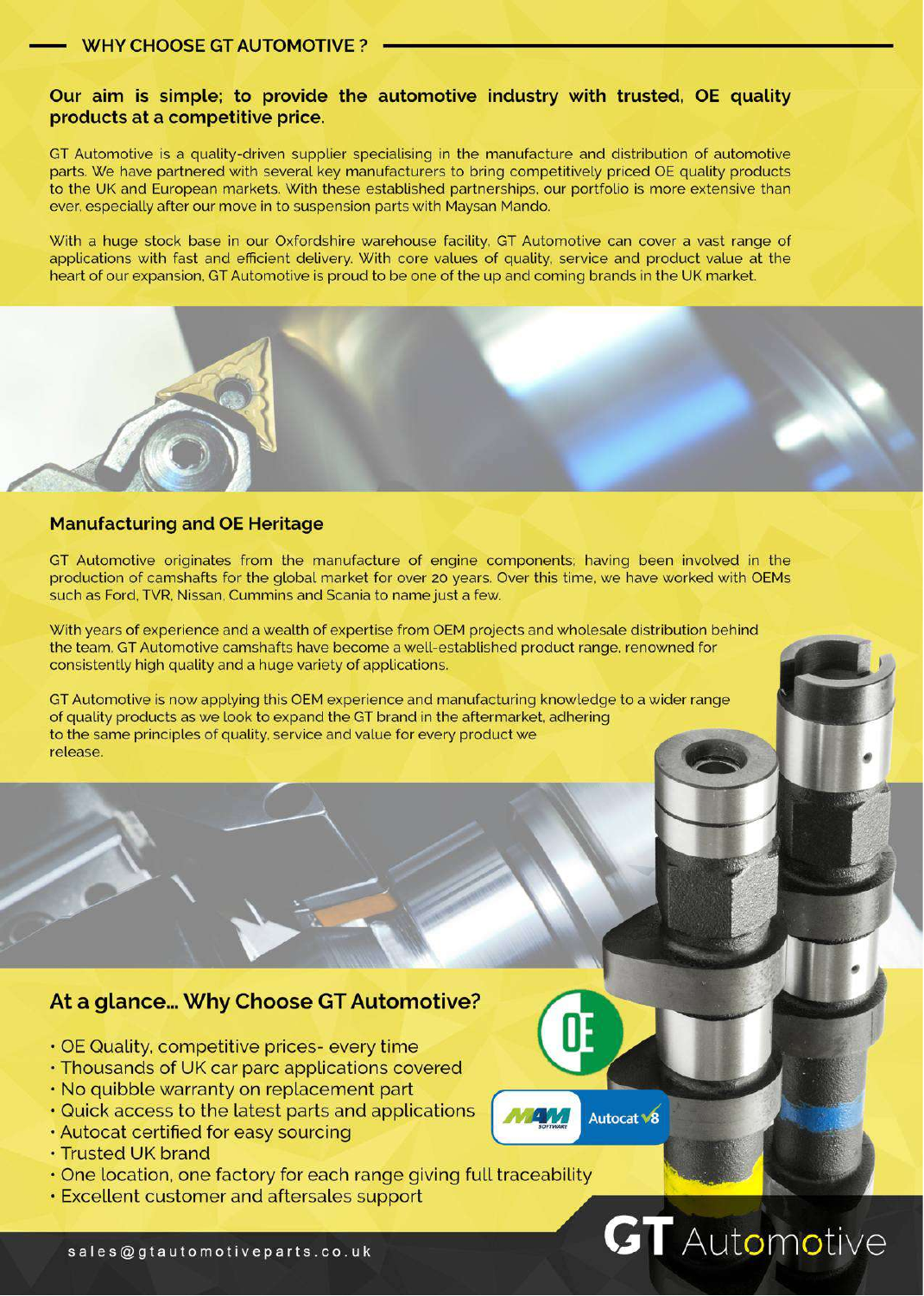#### Our aim is simple; to provide the automotive industry with trusted, OE quality products at a competitive price.

GT Automotive is a quality-driven supplier specialising in the manufacture and distribution of automotive parts. We have partnered with several key manufacturers to bring competitively priced OE quality products to the UK and European markets. With these established partnerships, our portfolio is more extensive than ever, especially after our move in to suspension parts with Maysan Mando.

With a huge stock base in our Oxfordshire warehouse facility, GT Automotive can cover a vast range of applications with fast and efficient delivery. With core values of quality, service and product value at the heart of our expansion. GT Automotive is proud to be one of the up and coming brands in the UK market.



#### **Manufacturing and OE Heritage**

GT Automotive originates from the manufacture of engine components; having been involved in the production of camshafts for the global market for over 20 years. Over this time, we have worked with OEMs such as Ford, TVR, Nissan, Cummins and Scania to name just a few.

With years of experience and a wealth of expertise from OEM projects and wholesale distribution behind the team, GT Automotive camshafts have become a well-established product range, renowned for consistently high quality and a huge variety of applications.

GT Automotive is now applying this OEM experience and manufacturing knowledge to a wider range of quality products as we look to expand the GT brand in the aftermarket, adhering to the same principles of quality, service and value for every product we release.

#### At a glance... Why Choose GT Automotive?

- · OE Quality, competitive prices- every time
- Thousands of UK car parc applications covered
- . No quibble warranty on replacement part
- . Quick access to the latest parts and applications
- · Autocat certified for easy sourcing
- Trusted UK brand
- . One location, one factory for each range giving full traceability
- **Excellent customer and aftersales support**



Autocat V8